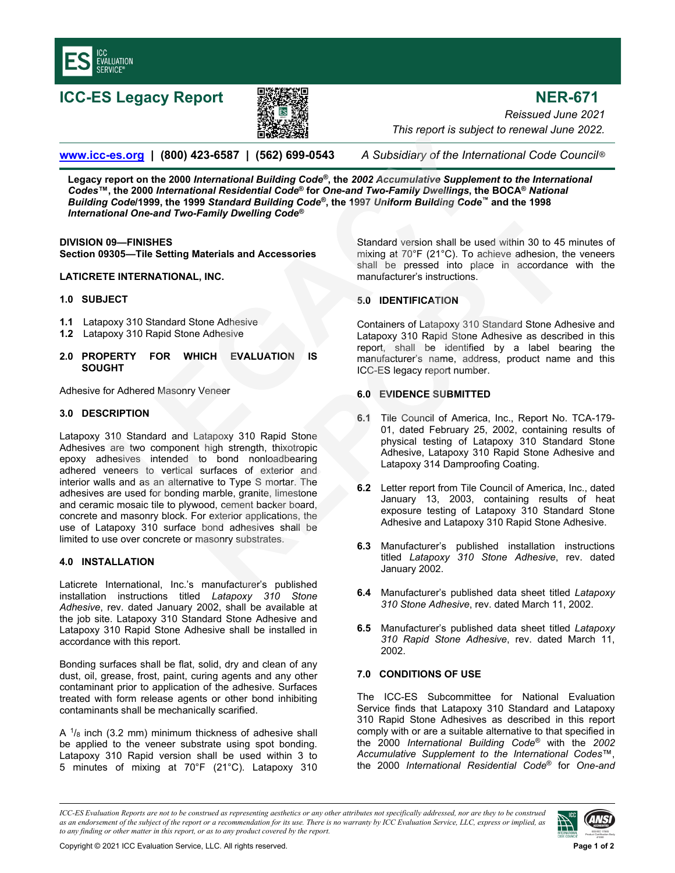

**ICC-ES Legacy Report NER-671** 



*Reissued June 2021 This report is subject to renewal June 2022.* 

**www.icc-es.org | (800) 423-6587 | (562) 699-0543** *A Subsidiary of the International Code Council* ®

**Legacy report on the 2000** *International Building Code®***, the** *2002 Accumulative Supplement to the International Codes***™, the 2000** *International Residential Code***® for** *One-and Two-Family Dwellings***, the BOCA®** *National Building Code***/1999, the 1999** *Standard Building Code®***, the 1997** *Uniform Building Code™* **and the 1998**  *International One-and Two-Family Dwelling Code®* **LEGACY 1668-2022**<br> **LEGACY 1662)** (562) 699-0543 A Subsidiary of the Internation<br>
report is subject to report on the 2000 International Building Code<sup>®</sup>, the 2002 Accumulative Supplement to<br>
(Code1999, the 1993 Standard B

### **DIVISION 09—FINISHES**

**Section 09305—Tile Setting Materials and Accessories**

### **LATICRETE INTERNATIONAL, INC.**

### **1.0 SUBJECT**

- **1.1** Latapoxy 310 Standard Stone Adhesive
- **1.2** Latapoxy 310 Rapid Stone Adhesive

### **2.0 PROPERTY FOR WHICH EVALUATION IS SOUGHT**

Adhesive for Adhered Masonry Veneer

### **3.0 DESCRIPTION**

Latapoxy 310 Standard and Latapoxy 310 Rapid Stone Adhesives are two component high strength, thixotropic epoxy adhesives intended to bond nonloadbearing adhered veneers to vertical surfaces of exterior and interior walls and as an alternative to Type S mortar. The adhesives are used for bonding marble, granite, limestone and ceramic mosaic tile to plywood, cement backer board, concrete and masonry block. For exterior applications, the use of Latapoxy 310 surface bond adhesives shall be limited to use over concrete or masonry substrates. Standard version shall be used within 30 to 45<br> **REPORTER STANDER INTERENTION**<br> **REPORTER STANDER INTERENTION**<br> **REPORTER STANDER STANDER STANDER STANDER STANDER STANDER STANDER STANDER STANDER STANDER VERSUS 10 Standard S** 

# **4.0 INSTALLATION**

Laticrete International, Inc.'s manufacturer's published installation instructions titled *Latapoxy 310 Stone Adhesive*, rev. dated January 2002, shall be available at the job site. Latapoxy 310 Standard Stone Adhesive and Latapoxy 310 Rapid Stone Adhesive shall be installed in accordance with this report.

Bonding surfaces shall be flat, solid, dry and clean of any dust, oil, grease, frost, paint, curing agents and any other contaminant prior to application of the adhesive. Surfaces treated with form release agents or other bond inhibiting contaminants shall be mechanically scarified.

A  $\frac{1}{8}$  inch (3.2 mm) minimum thickness of adhesive shall be applied to the veneer substrate using spot bonding. Latapoxy 310 Rapid version shall be used within 3 to 5 minutes of mixing at 70°F (21°C). Latapoxy 310

Standard version shall be used within 30 to 45 minutes of mixing at 70°F (21°C). To achieve adhesion, the veneers shall be pressed into place in accordance with the manufacturer's instructions.

# **5.0 IDENTIFICATION**

Containers of Latapoxy 310 Standard Stone Adhesive and Latapoxy 310 Rapid Stone Adhesive as described in this report, shall be identified by a label bearing the manufacturer's name, address, product name and this ICC-ES legacy report number.

# **6.0 EVIDENCE SUBMITTED**

- **6.1** Tile Council of America, Inc., Report No. TCA-179- 01, dated February 25, 2002, containing results of physical testing of Latapoxy 310 Standard Stone Adhesive, Latapoxy 310 Rapid Stone Adhesive and Latapoxy 314 Damproofing Coating.
- **6.2** Letter report from Tile Council of America, Inc., dated January 13, 2003, containing results of heat exposure testing of Latapoxy 310 Standard Stone Adhesive and Latapoxy 310 Rapid Stone Adhesive.
- **6.3** Manufacturer's published installation instructions titled *Latapoxy 310 Stone Adhesive*, rev. dated January 2002.
- **6.4** Manufacturer's published data sheet titled *Latapoxy 310 Stone Adhesive*, rev. dated March 11, 2002.
- **6.5** Manufacturer's published data sheet titled *Latapoxy 310 Rapid Stone Adhesive*, rev. dated March 11, 2002.

# **7.0 CONDITIONS OF USE**

The ICC-ES Subcommittee for National Evaluation Service finds that Latapoxy 310 Standard and Latapoxy 310 Rapid Stone Adhesives as described in this report comply with or are a suitable alternative to that specified in the 2000 *International Building Code®* with the *2002 Accumulative Supplement to the International Codes*™, the 2000 *International Residential Code*® for *One-and* 

*ICC-ES Evaluation Reports are not to be construed as representing aesthetics or any other attributes not specifically addressed, nor are they to be construed as an endorsement of the subject of the report or a recommendation for its use. There is no warranty by ICC Evaluation Service, LLC, express or implied, as to any finding or other matter in this report, or as to any product covered by the report.*